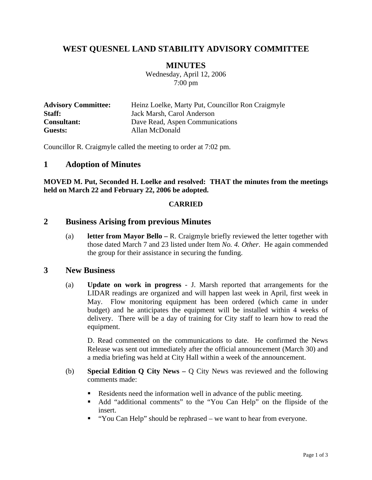# **WEST QUESNEL LAND STABILITY ADVISORY COMMITTEE**

### **MINUTES**

Wednesday, April 12, 2006 7:00 pm

| <b>Advisory Committee:</b> | Heinz Loelke, Marty Put, Councillor Ron Craigmyle |
|----------------------------|---------------------------------------------------|
| Staff:                     | Jack Marsh, Carol Anderson                        |
| <b>Consultant:</b>         | Dave Read, Aspen Communications                   |
| Guests:                    | Allan McDonald                                    |

Councillor R. Craigmyle called the meeting to order at 7:02 pm.

## **1 Adoption of Minutes**

**MOVED M. Put, Seconded H. Loelke and resolved: THAT the minutes from the meetings held on March 22 and February 22, 2006 be adopted.** 

#### **CARRIED**

#### **2 Business Arising from previous Minutes**

(a) **letter from Mayor Bello –** R. Craigmyle briefly reviewed the letter together with those dated March 7 and 23 listed under Item *No. 4. Other*. He again commended the group for their assistance in securing the funding.

### **3 New Business**

(a) **Update on work in progress** - J. Marsh reported that arrangements for the LIDAR readings are organized and will happen last week in April, first week in May. Flow monitoring equipment has been ordered (which came in under budget) and he anticipates the equipment will be installed within 4 weeks of delivery. There will be a day of training for City staff to learn how to read the equipment.

 D. Read commented on the communications to date. He confirmed the News Release was sent out immediately after the official announcement (March 30) and a media briefing was held at City Hall within a week of the announcement.

- (b) **Special Edition Q City News** Q City News was reviewed and the following comments made:
	- Residents need the information well in advance of the public meeting.
	- Add "additional comments" to the "You Can Help" on the flipside of the insert.
	- "You Can Help" should be rephrased we want to hear from everyone.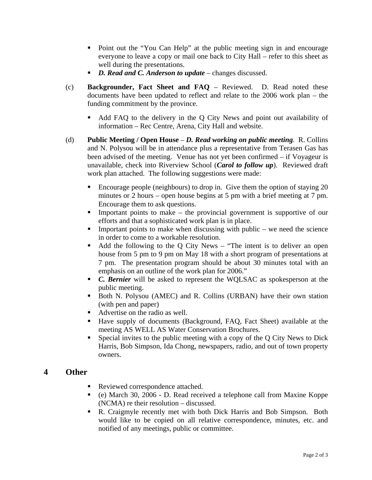- Point out the "You Can Help" at the public meeting sign in and encourage everyone to leave a copy or mail one back to City Hall – refer to this sheet as well during the presentations.
- *D. Read and C. Anderson to update* changes discussed.
- (c) **Backgrounder, Fact Sheet and FAQ** Reviewed. D. Read noted these documents have been updated to reflect and relate to the 2006 work plan – the funding commitment by the province.
	- Add FAQ to the delivery in the Q City News and point out availability of information – Rec Centre, Arena, City Hall and website.
- (d) **Public Meeting / Open House** *D. Read working on public meeting*. R. Collins and N. Polysou will be in attendance plus a representative from Terasen Gas has been advised of the meeting. Venue has not yet been confirmed – if Voyageur is unavailable, check into Riverview School (*Carol to follow up*). Reviewed draft work plan attached. The following suggestions were made:
	- Encourage people (neighbours) to drop in. Give them the option of staying 20 minutes or 2 hours – open house begins at 5 pm with a brief meeting at 7 pm. Encourage them to ask questions.
	- Important points to make the provincial government is supportive of our efforts and that a sophisticated work plan is in place.
	- Important points to make when discussing with public we need the science in order to come to a workable resolution.
	- Add the following to the Q City News "The intent is to deliver an open house from 5 pm to 9 pm on May 18 with a short program of presentations at 7 pm. The presentation program should be about 30 minutes total with an emphasis on an outline of the work plan for 2006."
	- *C. Bernier* will be asked to represent the WQLSAC as spokesperson at the public meeting.
	- Both N. Polysou (AMEC) and R. Collins (URBAN) have their own station (with pen and paper)
	- Advertise on the radio as well.
	- Have supply of documents (Background, FAQ, Fact Sheet) available at the meeting AS WELL AS Water Conservation Brochures.
	- Special invites to the public meeting with a copy of the Q City News to Dick Harris, Bob Simpson, Ida Chong, newspapers, radio, and out of town property owners.

## **4 Other**

- Reviewed correspondence attached.
- (e) March 30, 2006 D. Read received a telephone call from Maxine Koppe (NCMA) re their resolution – discussed.
- R. Craigmyle recently met with both Dick Harris and Bob Simpson. Both would like to be copied on all relative correspondence, minutes, etc. and notified of any meetings, public or committee.